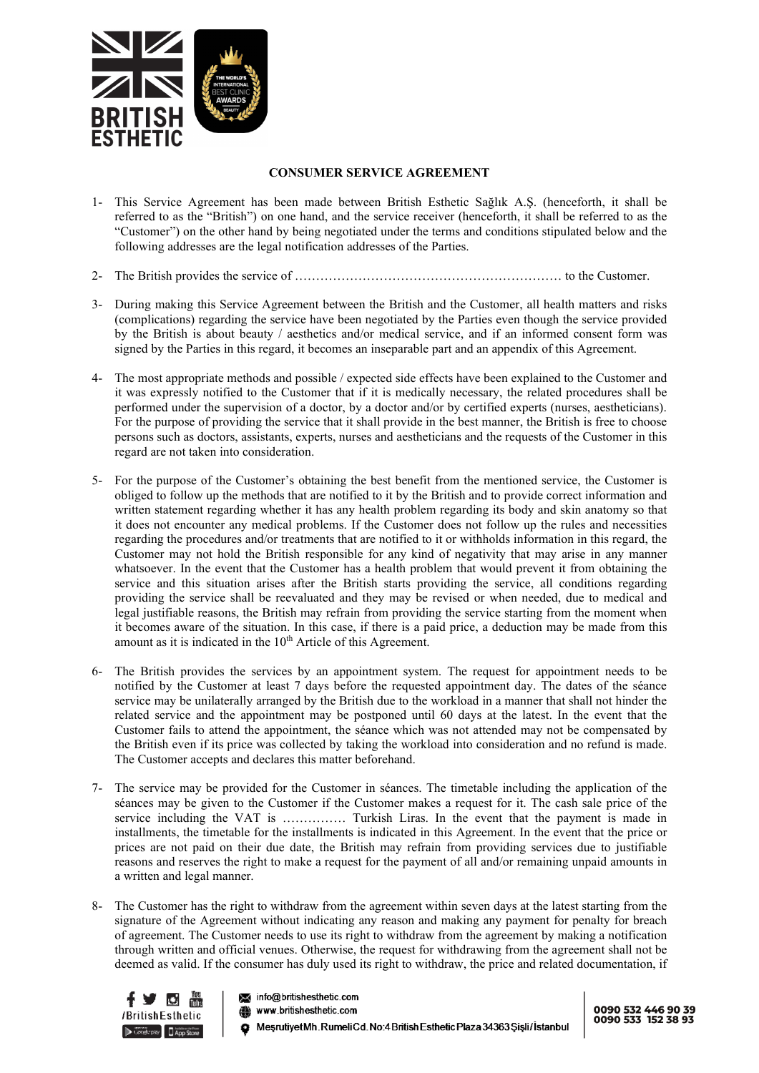

## **CONSUMER SERVICE AGREEMENT**

- 1- This Service Agreement has been made between British Esthetic Sağlık A.Ş. (henceforth, it shall be referred to as the "British") on one hand, and the service receiver (henceforth, it shall be referred to as the "Customer") on the other hand by being negotiated under the terms and conditions stipulated below and the following addresses are the legal notification addresses of the Parties.
- 2- The British provides the service of ……………………………………………………… to the Customer.
- 3- During making this Service Agreement between the British and the Customer, all health matters and risks (complications) regarding the service have been negotiated by the Parties even though the service provided by the British is about beauty / aesthetics and/or medical service, and if an informed consent form was signed by the Parties in this regard, it becomes an inseparable part and an appendix of this Agreement.
- 4- The most appropriate methods and possible / expected side effects have been explained to the Customer and it was expressly notified to the Customer that if it is medically necessary, the related procedures shall be performed under the supervision of a doctor, by a doctor and/or by certified experts (nurses, aestheticians). For the purpose of providing the service that it shall provide in the best manner, the British is free to choose persons such as doctors, assistants, experts, nurses and aestheticians and the requests of the Customer in this regard are not taken into consideration.
- 5- For the purpose of the Customer's obtaining the best benefit from the mentioned service, the Customer is obliged to follow up the methods that are notified to it by the British and to provide correct information and written statement regarding whether it has any health problem regarding its body and skin anatomy so that it does not encounter any medical problems. If the Customer does not follow up the rules and necessities regarding the procedures and/or treatments that are notified to it or withholds information in this regard, the Customer may not hold the British responsible for any kind of negativity that may arise in any manner whatsoever. In the event that the Customer has a health problem that would prevent it from obtaining the service and this situation arises after the British starts providing the service, all conditions regarding providing the service shall be reevaluated and they may be revised or when needed, due to medical and legal justifiable reasons, the British may refrain from providing the service starting from the moment when it becomes aware of the situation. In this case, if there is a paid price, a deduction may be made from this amount as it is indicated in the 10<sup>th</sup> Article of this Agreement.
- 6- The British provides the services by an appointment system. The request for appointment needs to be notified by the Customer at least 7 days before the requested appointment day. The dates of the séance service may be unilaterally arranged by the British due to the workload in a manner that shall not hinder the related service and the appointment may be postponed until 60 days at the latest. In the event that the Customer fails to attend the appointment, the séance which was not attended may not be compensated by the British even if its price was collected by taking the workload into consideration and no refund is made. The Customer accepts and declares this matter beforehand.
- 7- The service may be provided for the Customer in séances. The timetable including the application of the séances may be given to the Customer if the Customer makes a request for it. The cash sale price of the service including the VAT is …………… Turkish Liras. In the event that the payment is made in installments, the timetable for the installments is indicated in this Agreement. In the event that the price or prices are not paid on their due date, the British may refrain from providing services due to justifiable reasons and reserves the right to make a request for the payment of all and/or remaining unpaid amounts in a written and legal manner.
- 8- The Customer has the right to withdraw from the agreement within seven days at the latest starting from the signature of the Agreement without indicating any reason and making any payment for penalty for breach of agreement. The Customer needs to use its right to withdraw from the agreement by making a notification through written and official venues. Otherwise, the request for withdrawing from the agreement shall not be deemed as valid. If the consumer has duly used its right to withdraw, the price and related documentation, if



info@britishesthetic.com

www.britishesthetic.com

ResrutiyetMh.RumeliCd.No:4BritishEsthetic Plaza 34363 Şişli/İstanbul